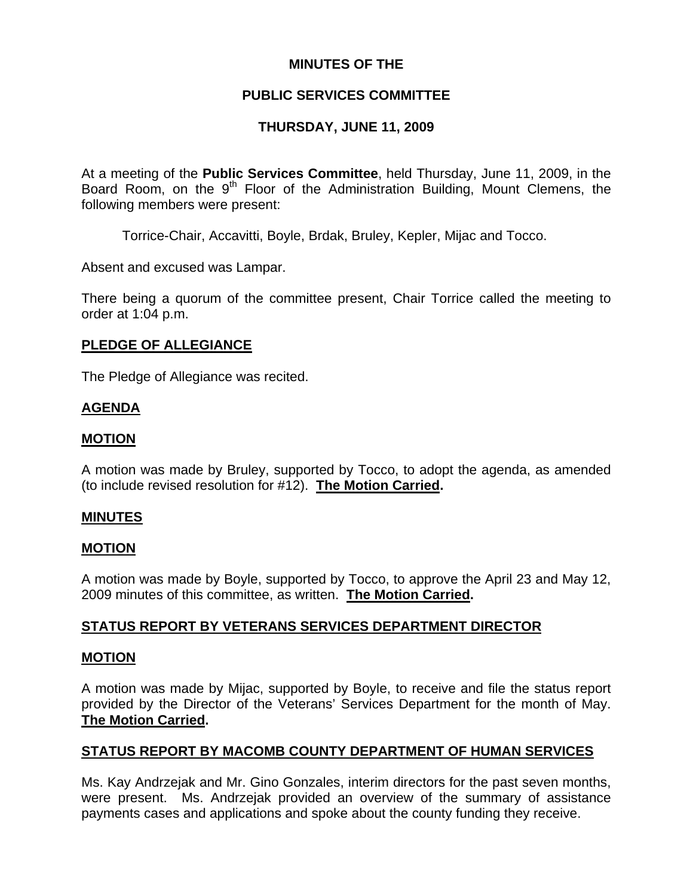## **MINUTES OF THE**

# **PUBLIC SERVICES COMMITTEE**

# **THURSDAY, JUNE 11, 2009**

At a meeting of the **Public Services Committee**, held Thursday, June 11, 2009, in the Board Room, on the  $9<sup>th</sup>$  Floor of the Administration Building, Mount Clemens, the following members were present:

Torrice-Chair, Accavitti, Boyle, Brdak, Bruley, Kepler, Mijac and Tocco.

Absent and excused was Lampar.

There being a quorum of the committee present, Chair Torrice called the meeting to order at 1:04 p.m.

## **PLEDGE OF ALLEGIANCE**

The Pledge of Allegiance was recited.

### **AGENDA**

### **MOTION**

A motion was made by Bruley, supported by Tocco, to adopt the agenda, as amended (to include revised resolution for #12). **The Motion Carried.** 

#### **MINUTES**

#### **MOTION**

A motion was made by Boyle, supported by Tocco, to approve the April 23 and May 12, 2009 minutes of this committee, as written. **The Motion Carried.** 

## **STATUS REPORT BY VETERANS SERVICES DEPARTMENT DIRECTOR**

#### **MOTION**

A motion was made by Mijac, supported by Boyle, to receive and file the status report provided by the Director of the Veterans' Services Department for the month of May. **The Motion Carried.** 

# **STATUS REPORT BY MACOMB COUNTY DEPARTMENT OF HUMAN SERVICES**

Ms. Kay Andrzejak and Mr. Gino Gonzales, interim directors for the past seven months, were present. Ms. Andrzejak provided an overview of the summary of assistance payments cases and applications and spoke about the county funding they receive.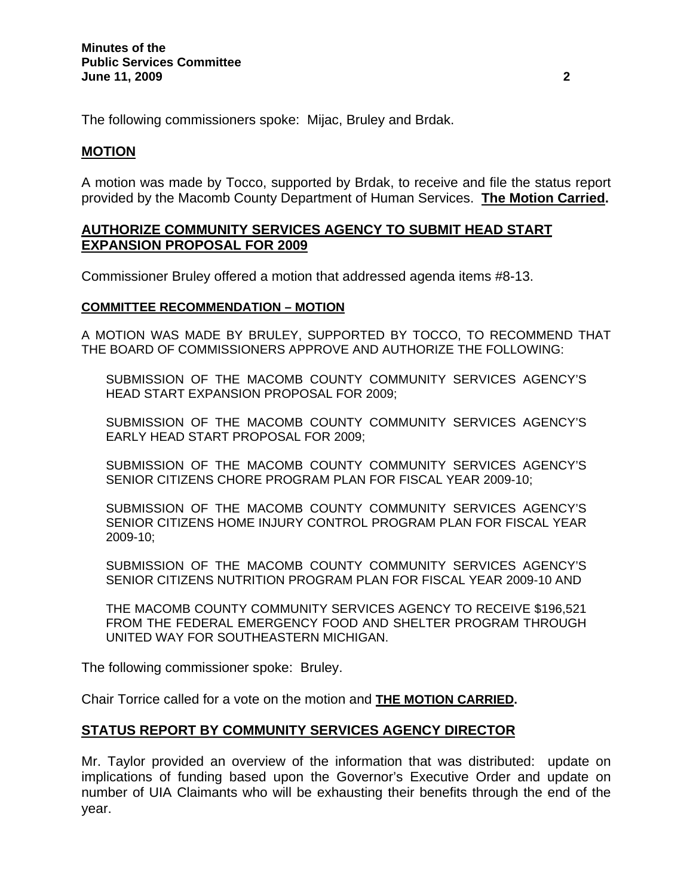The following commissioners spoke: Mijac, Bruley and Brdak.

#### **MOTION**

A motion was made by Tocco, supported by Brdak, to receive and file the status report provided by the Macomb County Department of Human Services. **The Motion Carried.** 

### **AUTHORIZE COMMUNITY SERVICES AGENCY TO SUBMIT HEAD START EXPANSION PROPOSAL FOR 2009**

Commissioner Bruley offered a motion that addressed agenda items #8-13.

#### **COMMITTEE RECOMMENDATION – MOTION**

A MOTION WAS MADE BY BRULEY, SUPPORTED BY TOCCO, TO RECOMMEND THAT THE BOARD OF COMMISSIONERS APPROVE AND AUTHORIZE THE FOLLOWING:

SUBMISSION OF THE MACOMB COUNTY COMMUNITY SERVICES AGENCY'S HEAD START EXPANSION PROPOSAL FOR 2009;

SUBMISSION OF THE MACOMB COUNTY COMMUNITY SERVICES AGENCY'S EARLY HEAD START PROPOSAL FOR 2009;

SUBMISSION OF THE MACOMB COUNTY COMMUNITY SERVICES AGENCY'S SENIOR CITIZENS CHORE PROGRAM PLAN FOR FISCAL YEAR 2009-10;

SUBMISSION OF THE MACOMB COUNTY COMMUNITY SERVICES AGENCY'S SENIOR CITIZENS HOME INJURY CONTROL PROGRAM PLAN FOR FISCAL YEAR 2009-10;

SUBMISSION OF THE MACOMB COUNTY COMMUNITY SERVICES AGENCY'S SENIOR CITIZENS NUTRITION PROGRAM PLAN FOR FISCAL YEAR 2009-10 AND

THE MACOMB COUNTY COMMUNITY SERVICES AGENCY TO RECEIVE \$196,521 FROM THE FEDERAL EMERGENCY FOOD AND SHELTER PROGRAM THROUGH UNITED WAY FOR SOUTHEASTERN MICHIGAN.

The following commissioner spoke: Bruley.

Chair Torrice called for a vote on the motion and **THE MOTION CARRIED.** 

## **STATUS REPORT BY COMMUNITY SERVICES AGENCY DIRECTOR**

Mr. Taylor provided an overview of the information that was distributed: update on implications of funding based upon the Governor's Executive Order and update on number of UIA Claimants who will be exhausting their benefits through the end of the year.